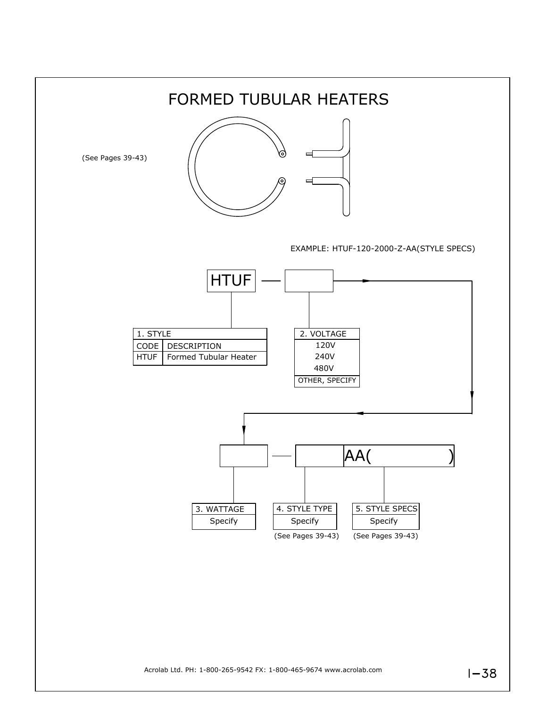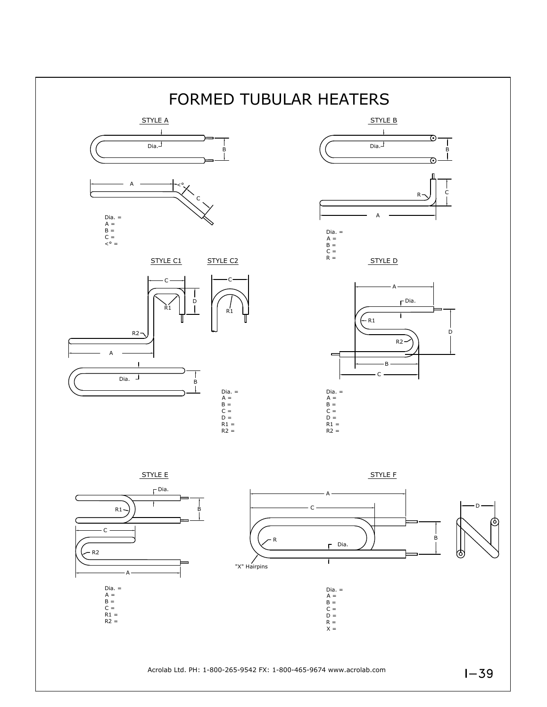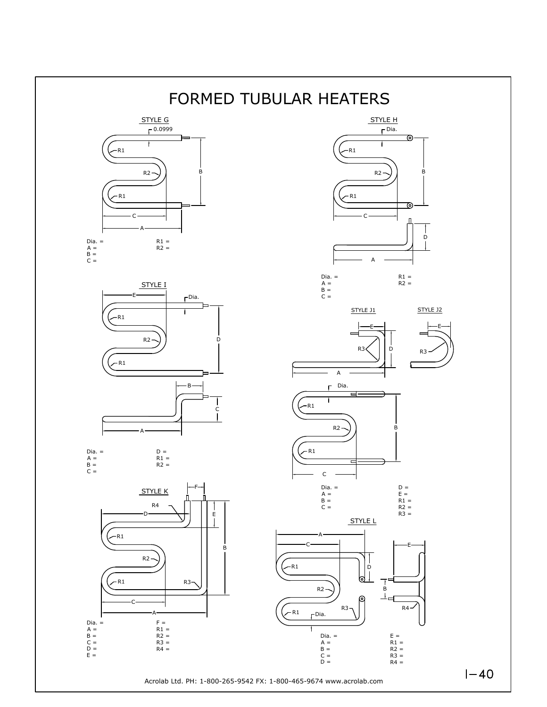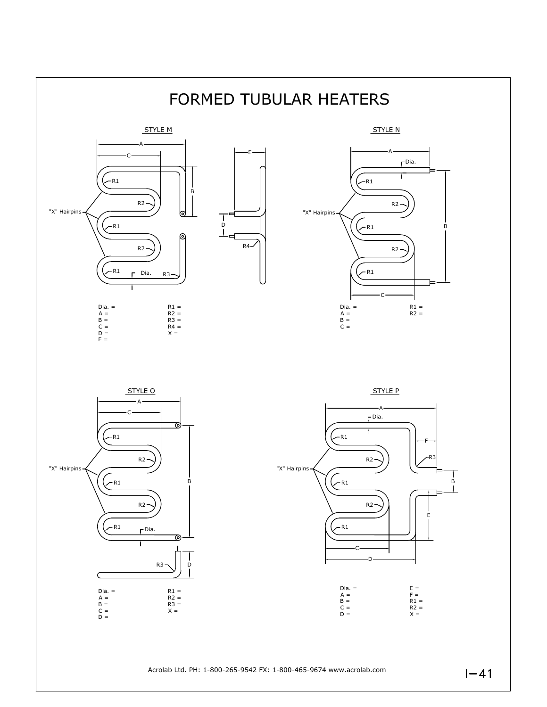

Acrolab Ltd. PH: 1-800-265-9542 FX: 1-800-465-9674 www.acrolab.com

 $1 - 41$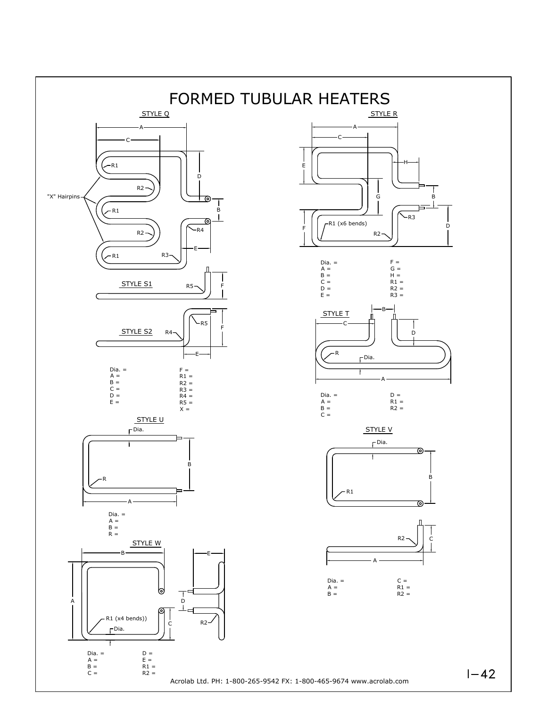